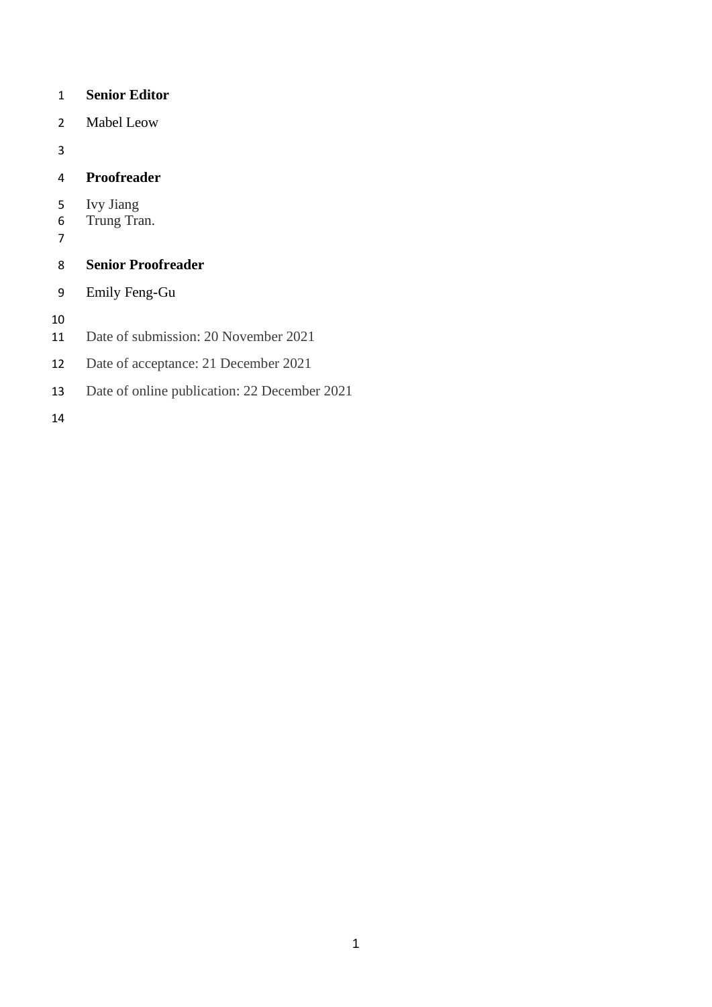#### **Senior Editor**

Mabel Leow

## **Proofreader**

- 5 Ivy Jiang<br>6 Trung Tra
- Trung Tran.
- 

# **Senior Proofreader**

Emily Feng-Gu

- Date of submission: 20 November 2021
- Date of acceptance: 21 December 2021
- Date of online publication: 22 December 2021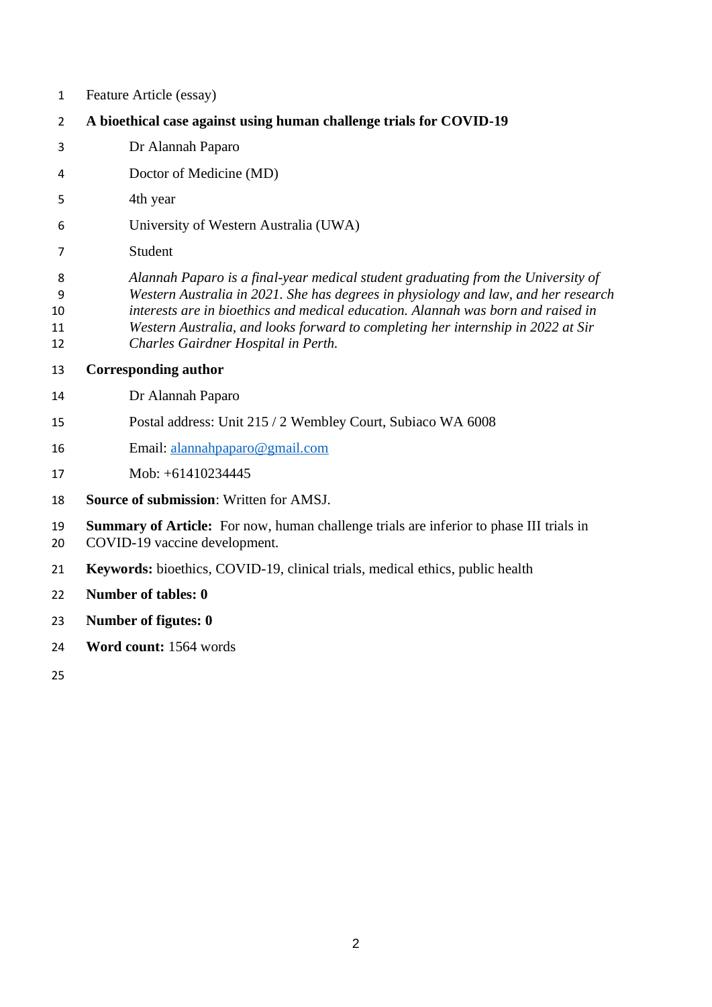- Feature Article (essay)
- **A bioethical case against using human challenge trials for COVID-19**
- Dr Alannah Paparo
- Doctor of Medicine (MD)
- 4th year
- University of Western Australia (UWA)
- Student
- *Alannah Paparo is a final-year medical student graduating from the University of Western Australia in 2021. She has degrees in physiology and law, and her research interests are in bioethics and medical education. Alannah was born and raised in Western Australia, and looks forward to completing her internship in 2022 at Sir*
- *Charles Gairdner Hospital in Perth.*
- **Corresponding author**
- Dr Alannah Paparo
- Postal address: Unit 215 / 2 Wembley Court, Subiaco WA 6008
- Email: [alannahpaparo@gmail.com](mailto:alannahpaparo@gmail.com)
- Mob: +61410234445
- **Source of submission**: Written for AMSJ.
- **Summary of Article:** For now, human challenge trials are inferior to phase III trials in COVID-19 vaccine development.
- **Keywords:** bioethics, COVID-19, clinical trials, medical ethics, public health
- **Number of tables: 0**
- **Number of figutes: 0**
- **Word count:** 1564 words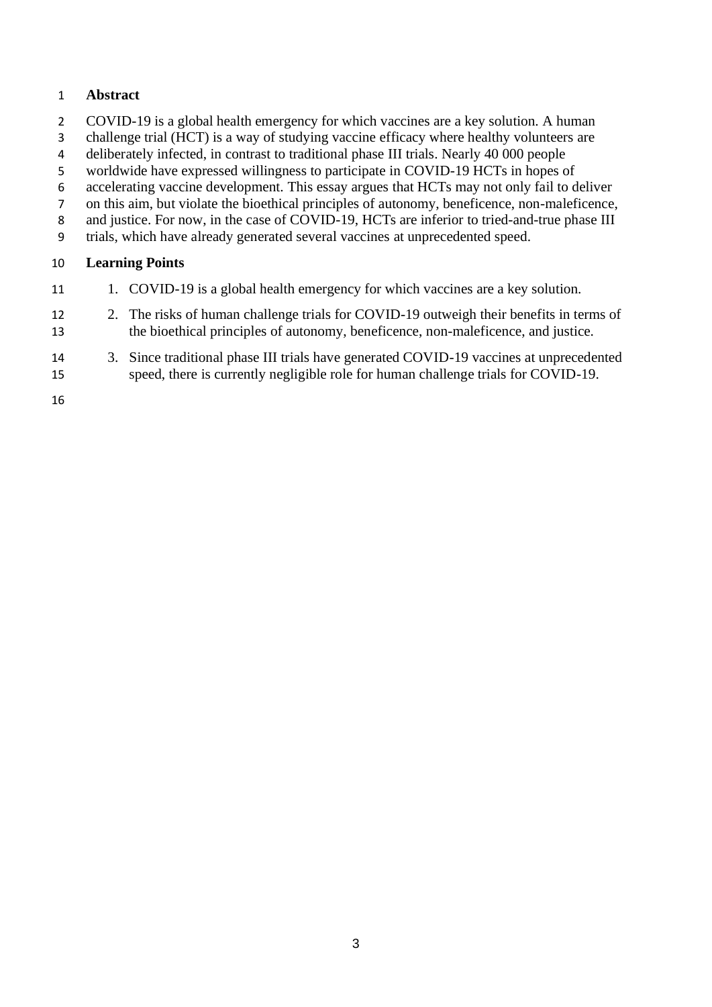## **Abstract**

- COVID-19 is a global health emergency for which vaccines are a key solution. A human
- challenge trial (HCT) is a way of studying vaccine efficacy where healthy volunteers are
- deliberately infected, in contrast to traditional phase III trials. Nearly 40 000 people
- worldwide have expressed willingness to participate in COVID-19 HCTs in hopes of
- accelerating vaccine development. This essay argues that HCTs may not only fail to deliver
- on this aim, but violate the bioethical principles of autonomy, beneficence, non-maleficence,
- 8 and justice. For now, in the case of COVID-19, HCTs are inferior to tried-and-true phase III
- trials, which have already generated several vaccines at unprecedented speed.

### **Learning Points**

- 1. COVID-19 is a global health emergency for which vaccines are a key solution.
- 12 2. The risks of human challenge trials for COVID-19 outweigh their benefits in terms of the bioethical principles of autonomy, beneficence, non-maleficence, and justice.
- 3. Since traditional phase III trials have generated COVID-19 vaccines at unprecedented speed, there is currently negligible role for human challenge trials for COVID-19.
-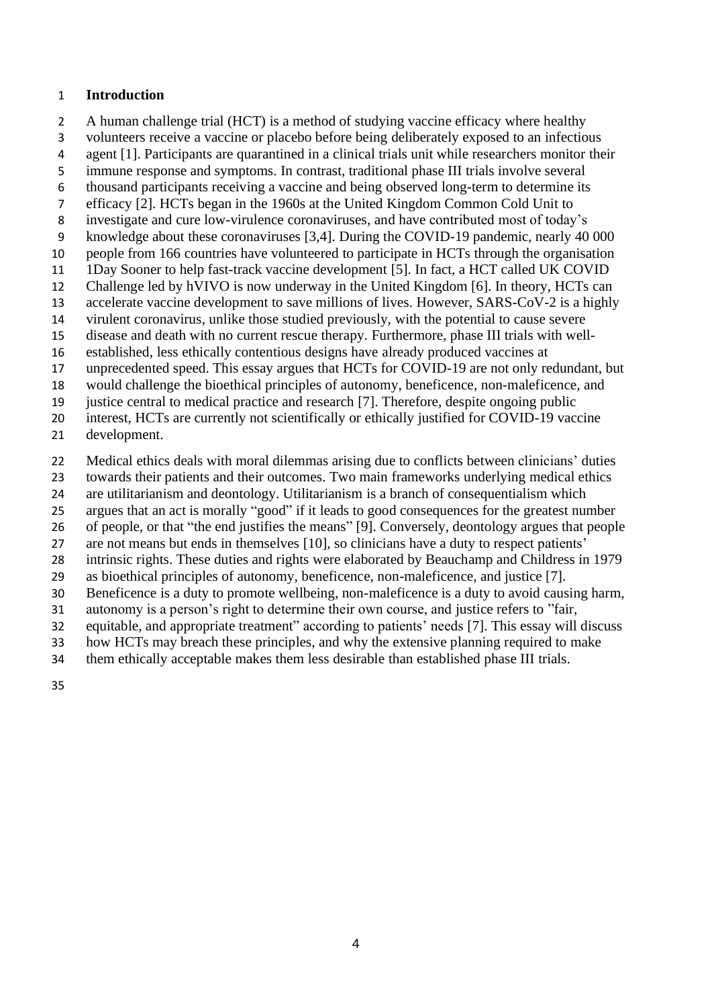#### **Introduction**

A human challenge trial (HCT) is a method of studying vaccine efficacy where healthy

- volunteers receive a vaccine or placebo before being deliberately exposed to an infectious
- agent [1]. Participants are quarantined in a clinical trials unit while researchers monitor their
- immune response and symptoms. In contrast, traditional phase III trials involve several
- thousand participants receiving a vaccine and being observed long-term to determine its
- efficacy [2]. HCTs began in the 1960s at the United Kingdom Common Cold Unit to
- investigate and cure low-virulence coronaviruses, and have contributed most of today's knowledge about these coronaviruses [3,4]. During the COVID-19 pandemic, nearly 40 000
- people from 166 countries have volunteered to participate in HCTs through the organisation
- 1Day Sooner to help fast-track vaccine development [5]. In fact, a HCT called UK COVID
- Challenge led by hVIVO is now underway in the United Kingdom [6]. In theory, HCTs can
- accelerate vaccine development to save millions of lives. However, SARS-CoV-2 is a highly
- virulent coronavirus, unlike those studied previously, with the potential to cause severe
- disease and death with no current rescue therapy. Furthermore, phase III trials with well-
- established, less ethically contentious designs have already produced vaccines at
- unprecedented speed. This essay argues that HCTs for COVID-19 are not only redundant, but
- would challenge the bioethical principles of autonomy, beneficence, non-maleficence, and
- justice central to medical practice and research [7]. Therefore, despite ongoing public
- interest, HCTs are currently not scientifically or ethically justified for COVID-19 vaccine
- development.
- Medical ethics deals with moral dilemmas arising due to conflicts between clinicians' duties
- towards their patients and their outcomes. Two main frameworks underlying medical ethics
- are utilitarianism and deontology. Utilitarianism is a branch of consequentialism which
- argues that an act is morally "good" if it leads to good consequences for the greatest number
- of people, or that "the end justifies the means" [9]. Conversely, deontology argues that people
- are not means but ends in themselves [10], so clinicians have a duty to respect patients'
- intrinsic rights. These duties and rights were elaborated by Beauchamp and Childress in 1979
- as bioethical principles of autonomy, beneficence, non-maleficence, and justice [7].
- Beneficence is a duty to promote wellbeing, non-maleficence is a duty to avoid causing harm,
- autonomy is a person's right to determine their own course, and justice refers to "fair,
- equitable, and appropriate treatment" according to patients' needs [7]. This essay will discuss
- how HCTs may breach these principles, and why the extensive planning required to make
- them ethically acceptable makes them less desirable than established phase III trials.
-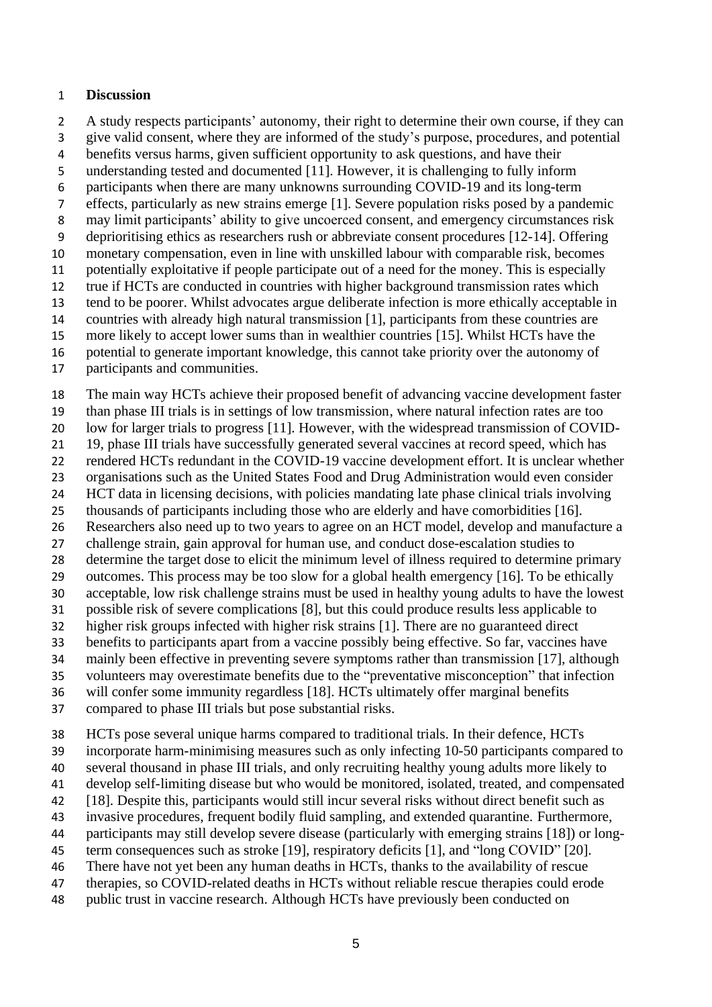#### **Discussion**

A study respects participants' autonomy, their right to determine their own course, if they can

give valid consent, where they are informed of the study's purpose, procedures, and potential

benefits versus harms, given sufficient opportunity to ask questions, and have their

understanding tested and documented [11]. However, it is challenging to fully inform

participants when there are many unknowns surrounding COVID-19 and its long-term

effects, particularly as new strains emerge [1]. Severe population risks posed by a pandemic

may limit participants' ability to give uncoerced consent, and emergency circumstances risk

deprioritising ethics as researchers rush or abbreviate consent procedures [12-14]. Offering

monetary compensation, even in line with unskilled labour with comparable risk, becomes

 potentially exploitative if people participate out of a need for the money. This is especially true if HCTs are conducted in countries with higher background transmission rates which

tend to be poorer. Whilst advocates argue deliberate infection is more ethically acceptable in

countries with already high natural transmission [1], participants from these countries are

more likely to accept lower sums than in wealthier countries [15]. Whilst HCTs have the

potential to generate important knowledge, this cannot take priority over the autonomy of

participants and communities.

The main way HCTs achieve their proposed benefit of advancing vaccine development faster

than phase III trials is in settings of low transmission, where natural infection rates are too

low for larger trials to progress [11]. However, with the widespread transmission of COVID-

19, phase III trials have successfully generated several vaccines at record speed, which has

rendered HCTs redundant in the COVID-19 vaccine development effort. It is unclear whether

organisations such as the United States Food and Drug Administration would even consider

 HCT data in licensing decisions, with policies mandating late phase clinical trials involving thousands of participants including those who are elderly and have comorbidities [16].

Researchers also need up to two years to agree on an HCT model, develop and manufacture a

challenge strain, gain approval for human use, and conduct dose-escalation studies to

determine the target dose to elicit the minimum level of illness required to determine primary

outcomes. This process may be too slow for a global health emergency [16]. To be ethically

acceptable, low risk challenge strains must be used in healthy young adults to have the lowest

possible risk of severe complications [8], but this could produce results less applicable to

higher risk groups infected with higher risk strains [1]. There are no guaranteed direct

benefits to participants apart from a vaccine possibly being effective. So far, vaccines have

mainly been effective in preventing severe symptoms rather than transmission [17], although

volunteers may overestimate benefits due to the "preventative misconception" that infection

will confer some immunity regardless [18]. HCTs ultimately offer marginal benefits

compared to phase III trials but pose substantial risks.

HCTs pose several unique harms compared to traditional trials. In their defence, HCTs

incorporate harm-minimising measures such as only infecting 10-50 participants compared to

several thousand in phase III trials, and only recruiting healthy young adults more likely to

develop self-limiting disease but who would be monitored, isolated, treated, and compensated

[18]. Despite this, participants would still incur several risks without direct benefit such as

invasive procedures, frequent bodily fluid sampling, and extended quarantine. Furthermore,

 participants may still develop severe disease (particularly with emerging strains [18]) or long-term consequences such as stroke [19], respiratory deficits [1], and "long COVID" [20].

There have not yet been any human deaths in HCTs, thanks to the availability of rescue

therapies, so COVID-related deaths in HCTs without reliable rescue therapies could erode

public trust in vaccine research. Although HCTs have previously been conducted on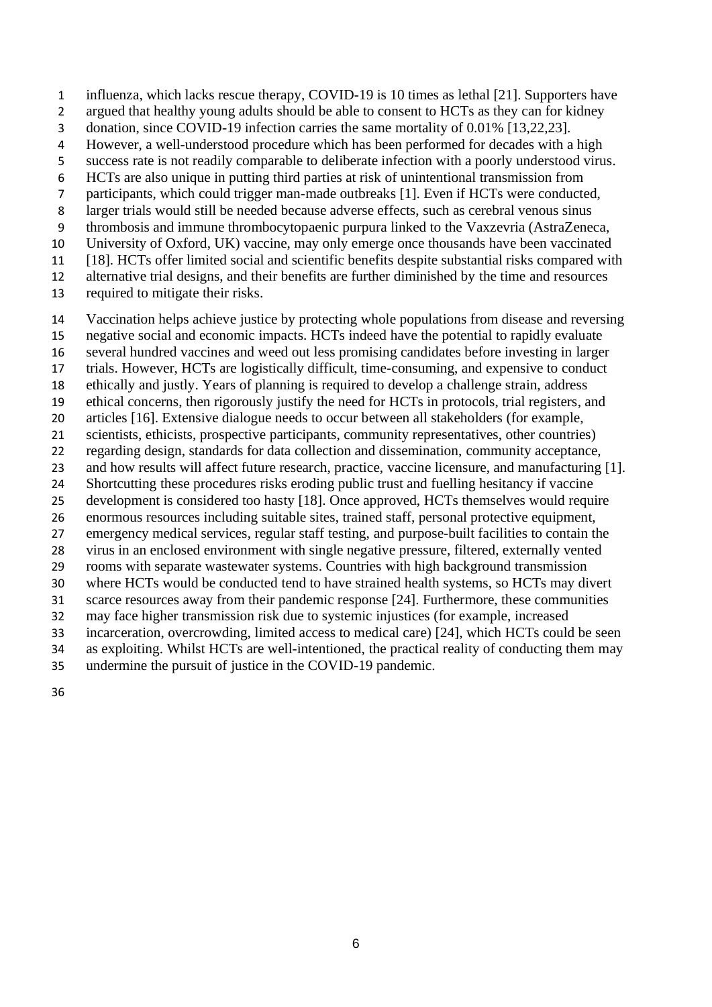influenza, which lacks rescue therapy, COVID-19 is 10 times as lethal [21]. Supporters have

- argued that healthy young adults should be able to consent to HCTs as they can for kidney
- donation, since COVID-19 infection carries the same mortality of 0.01% [13,22,23].
- However, a well-understood procedure which has been performed for decades with a high
- success rate is not readily comparable to deliberate infection with a poorly understood virus.
- HCTs are also unique in putting third parties at risk of unintentional transmission from
- participants, which could trigger man-made outbreaks [1]. Even if HCTs were conducted,
- larger trials would still be needed because adverse effects, such as cerebral venous sinus
- thrombosis and immune thrombocytopaenic purpura linked to the Vaxzevria (AstraZeneca,
- University of Oxford, UK) vaccine, may only emerge once thousands have been vaccinated
- [18]. HCTs offer limited social and scientific benefits despite substantial risks compared with
- alternative trial designs, and their benefits are further diminished by the time and resources
- required to mitigate their risks.
- Vaccination helps achieve justice by protecting whole populations from disease and reversing
- negative social and economic impacts. HCTs indeed have the potential to rapidly evaluate
- several hundred vaccines and weed out less promising candidates before investing in larger
- trials. However, HCTs are logistically difficult, time-consuming, and expensive to conduct
- ethically and justly. Years of planning is required to develop a challenge strain, address
- ethical concerns, then rigorously justify the need for HCTs in protocols, trial registers, and
- articles [16]. Extensive dialogue needs to occur between all stakeholders (for example,
- scientists, ethicists, prospective participants, community representatives, other countries) regarding design, standards for data collection and dissemination, community acceptance,
- and how results will affect future research, practice, vaccine licensure, and manufacturing [1].
- Shortcutting these procedures risks eroding public trust and fuelling hesitancy if vaccine
- development is considered too hasty [18]. Once approved, HCTs themselves would require
- enormous resources including suitable sites, trained staff, personal protective equipment,
- emergency medical services, regular staff testing, and purpose-built facilities to contain the
- virus in an enclosed environment with single negative pressure, filtered, externally vented rooms with separate wastewater systems. Countries with high background transmission
- where HCTs would be conducted tend to have strained health systems, so HCTs may divert
- scarce resources away from their pandemic response [24]. Furthermore, these communities
- may face higher transmission risk due to systemic injustices (for example, increased
- incarceration, overcrowding, limited access to medical care) [24], which HCTs could be seen
- as exploiting. Whilst HCTs are well-intentioned, the practical reality of conducting them may
- undermine the pursuit of justice in the COVID-19 pandemic.
-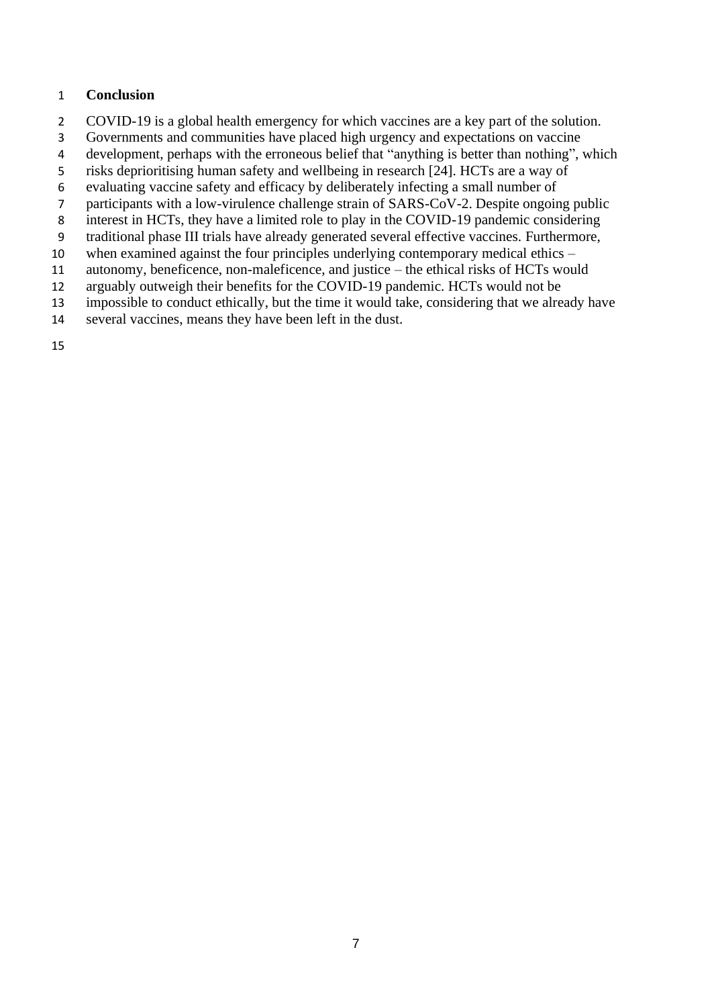### **Conclusion**

- COVID-19 is a global health emergency for which vaccines are a key part of the solution.
- Governments and communities have placed high urgency and expectations on vaccine
- development, perhaps with the erroneous belief that "anything is better than nothing", which
- risks deprioritising human safety and wellbeing in research [24]. HCTs are a way of
- evaluating vaccine safety and efficacy by deliberately infecting a small number of
- participants with a low-virulence challenge strain of SARS-CoV-2. Despite ongoing public
- interest in HCTs, they have a limited role to play in the COVID-19 pandemic considering
- traditional phase III trials have already generated several effective vaccines. Furthermore,
- when examined against the four principles underlying contemporary medical ethics –
- autonomy, beneficence, non-maleficence, and justice the ethical risks of HCTs would
- arguably outweigh their benefits for the COVID-19 pandemic. HCTs would not be
- impossible to conduct ethically, but the time it would take, considering that we already have
- several vaccines, means they have been left in the dust.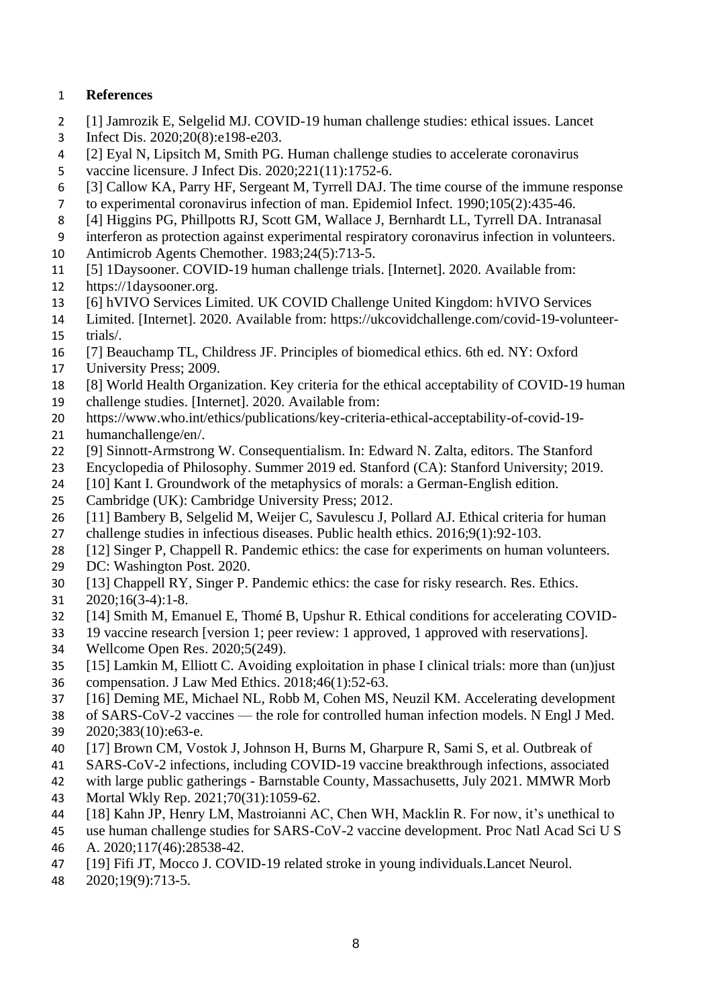## **References**

- [1] Jamrozik E, Selgelid MJ. COVID-19 human challenge studies: ethical issues. Lancet
- Infect Dis. 2020;20(8):e198-e203.
- [2] Eyal N, Lipsitch M, Smith PG. Human challenge studies to accelerate coronavirus
- vaccine licensure. J Infect Dis. 2020;221(11):1752-6.
- [3] Callow KA, Parry HF, Sergeant M, Tyrrell DAJ. The time course of the immune response
- to experimental coronavirus infection of man. Epidemiol Infect. 1990;105(2):435-46.
- [4] Higgins PG, Phillpotts RJ, Scott GM, Wallace J, Bernhardt LL, Tyrrell DA. Intranasal
- interferon as protection against experimental respiratory coronavirus infection in volunteers.
- Antimicrob Agents Chemother. 1983;24(5):713-5.
- [5] 1Daysooner. COVID-19 human challenge trials. [Internet]. 2020. Available from:
- https://1daysooner.org.
- [6] hVIVO Services Limited. UK COVID Challenge United Kingdom: hVIVO Services
- Limited. [Internet]. 2020. Available from: https://ukcovidchallenge.com/covid-19-volunteer-trials/.
- [7] Beauchamp TL, Childress JF. Principles of biomedical ethics. 6th ed. NY: Oxford
- University Press; 2009.
- [8] World Health Organization. Key criteria for the ethical acceptability of COVID-19 human
- challenge studies. [Internet]. 2020. Available from:
- https://www.who.int/ethics/publications/key-criteria-ethical-acceptability-of-covid-19-
- humanchallenge/en/.
- [9] Sinnott-Armstrong W. Consequentialism. In: Edward N. Zalta, editors. The Stanford
- Encyclopedia of Philosophy. Summer 2019 ed. Stanford (CA): Stanford University; 2019.
- [10] Kant I. Groundwork of the metaphysics of morals: a German-English edition.
- Cambridge (UK): Cambridge University Press; 2012.
- [11] Bambery B, Selgelid M, Weijer C, Savulescu J, Pollard AJ. Ethical criteria for human
- challenge studies in infectious diseases. Public health ethics. 2016;9(1):92-103.
- [12] Singer P, Chappell R. Pandemic ethics: the case for experiments on human volunteers.
- DC: Washington Post. 2020.
- [13] Chappell RY, Singer P. Pandemic ethics: the case for risky research. Res. Ethics.
- 2020;16(3-4):1-8.
- [14] Smith M, Emanuel E, Thomé B, Upshur R. Ethical conditions for accelerating COVID-
- 19 vaccine research [version 1; peer review: 1 approved, 1 approved with reservations].
- Wellcome Open Res. 2020;5(249).
- [15] Lamkin M, Elliott C. Avoiding exploitation in phase I clinical trials: more than (un)just
- compensation. J Law Med Ethics. 2018;46(1):52-63.
- [16] Deming ME, Michael NL, Robb M, Cohen MS, Neuzil KM. Accelerating development
- of SARS-CoV-2 vaccines the role for controlled human infection models. N Engl J Med.
- 2020;383(10):e63-e.
- [17] Brown CM, Vostok J, Johnson H, Burns M, Gharpure R, Sami S, et al. Outbreak of
- SARS-CoV-2 infections, including COVID-19 vaccine breakthrough infections, associated
- with large public gatherings Barnstable County, Massachusetts, July 2021. MMWR Morb
- Mortal Wkly Rep. 2021;70(31):1059-62.
- [18] Kahn JP, Henry LM, Mastroianni AC, Chen WH, Macklin R. For now, it's unethical to
- use human challenge studies for SARS-CoV-2 vaccine development. Proc Natl Acad Sci U S
- A. 2020;117(46):28538-42.
- [19] Fifi JT, Mocco J. COVID-19 related stroke in young individuals.Lancet Neurol.
- 2020;19(9):713-5.